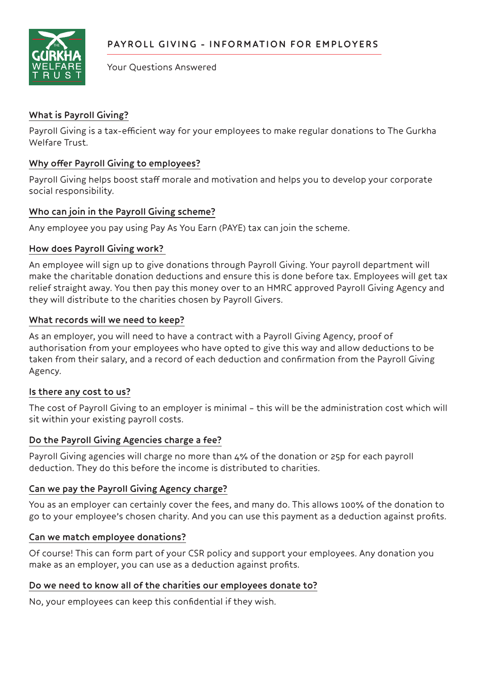

Your Questions Answered

# **What is Payroll Giving?**

Payroll Giving is a tax-efficient way for your employees to make regular donations to The Gurkha Welfare Trust.

### **Why offer Payroll Giving to employees?**

Payroll Giving helps boost staff morale and motivation and helps you to develop your corporate social responsibility.

#### **Who can join in the Payroll Giving scheme?**

Any employee you pay using Pay As You Earn (PAYE) tax can join the scheme.

## **How does Payroll Giving work?**

An employee will sign up to give donations through Payroll Giving. Your payroll department will make the charitable donation deductions and ensure this is done before tax. Employees will get tax relief straight away. You then pay this money over to an HMRC approved Payroll Giving Agency and they will distribute to the charities chosen by Payroll Givers.

#### **What records will we need to keep?**

As an employer, you will need to have a contract with a Payroll Giving Agency, proof of authorisation from your employees who have opted to give this way and allow deductions to be taken from their salary, and a record of each deduction and confirmation from the Payroll Giving Agency.

#### **Is there any cost to us?**

The cost of Payroll Giving to an employer is minimal – this will be the administration cost which will sit within your existing payroll costs.

#### **Do the Payroll Giving Agencies charge a fee?**

Payroll Giving agencies will charge no more than 4% of the donation or 25p for each payroll deduction. They do this before the income is distributed to charities.

#### **Can we pay the Payroll Giving Agency charge?**

You as an employer can certainly cover the fees, and many do. This allows 100% of the donation to go to your employee's chosen charity. And you can use this payment as a deduction against profits.

#### **Can we match employee donations?**

Of course! This can form part of your CSR policy and support your employees. Any donation you make as an employer, you can use as a deduction against profits.

#### **Do we need to know all of the charities our employees donate to?**

No, your employees can keep this confidential if they wish.